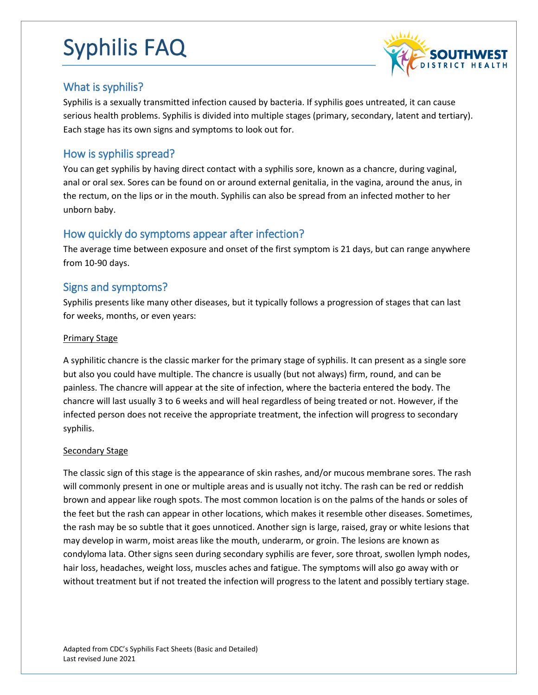

### What is syphilis?

Syphilis is a sexually transmitted infection caused by bacteria. If syphilis goes untreated, it can cause serious health problems. Syphilis is divided into multiple stages (primary, secondary, latent and tertiary). Each stage has its own signs and symptoms to look out for.

### How is syphilis spread?

You can get syphilis by having direct contact with a syphilis sore, known as a chancre, during vaginal, anal or oral sex. Sores can be found on or around external genitalia, in the vagina, around the anus, in the rectum, on the lips or in the mouth. Syphilis can also be spread from an infected mother to her unborn baby.

# How quickly do symptoms appear after infection?

The average time between exposure and onset of the first symptom is 21 days, but can range anywhere from 10-90 days.

### Signs and symptoms?

Syphilis presents like many other diseases, but it typically follows a progression of stages that can last for weeks, months, or even years:

#### Primary Stage

A syphilitic chancre is the classic marker for the primary stage of syphilis. It can present as a single sore but also you could have multiple. The chancre is usually (but not always) firm, round, and can be painless. The chancre will appear at the site of infection, where the bacteria entered the body. The chancre will last usually 3 to 6 weeks and will heal regardless of being treated or not. However, if the infected person does not receive the appropriate treatment, the infection will progress to secondary syphilis.

#### Secondary Stage

The classic sign of this stage is the appearance of skin rashes, and/or mucous membrane sores. The rash will commonly present in one or multiple areas and is usually not itchy. The rash can be red or reddish brown and appear like rough spots. The most common location is on the palms of the hands or soles of the feet but the rash can appear in other locations, which makes it resemble other diseases. Sometimes, the rash may be so subtle that it goes unnoticed. Another sign is large, raised, gray or white lesions that may develop in warm, moist areas like the mouth, underarm, or groin. The lesions are known as condyloma lata. Other signs seen during secondary syphilis are fever, sore throat, swollen lymph nodes, hair loss, headaches, weight loss, muscles aches and fatigue. The symptoms will also go away with or without treatment but if not treated the infection will progress to the latent and possibly tertiary stage.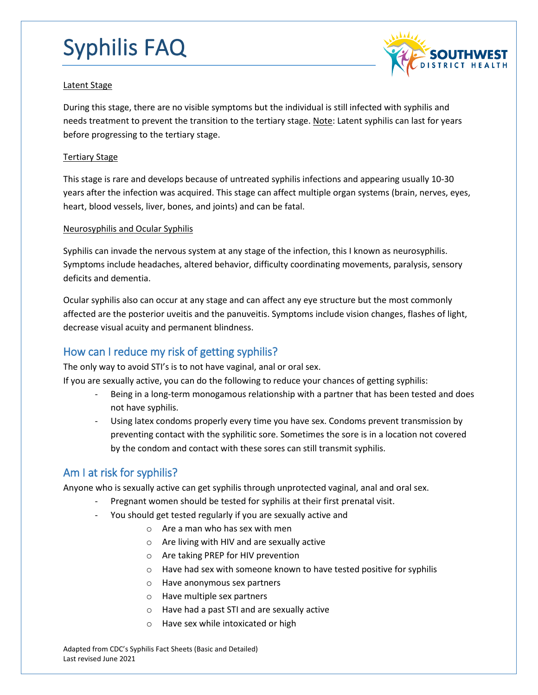

#### Latent Stage

During this stage, there are no visible symptoms but the individual is still infected with syphilis and needs treatment to prevent the transition to the tertiary stage. Note: Latent syphilis can last for years before progressing to the tertiary stage.

#### Tertiary Stage

This stage is rare and develops because of untreated syphilis infections and appearing usually 10-30 years after the infection was acquired. This stage can affect multiple organ systems (brain, nerves, eyes, heart, blood vessels, liver, bones, and joints) and can be fatal.

#### Neurosyphilis and Ocular Syphilis

Syphilis can invade the nervous system at any stage of the infection, this I known as neurosyphilis. Symptoms include headaches, altered behavior, difficulty coordinating movements, paralysis, sensory deficits and dementia.

Ocular syphilis also can occur at any stage and can affect any eye structure but the most commonly affected are the posterior uveitis and the panuveitis. Symptoms include vision changes, flashes of light, decrease visual acuity and permanent blindness.

# How can I reduce my risk of getting syphilis?

The only way to avoid STI's is to not have vaginal, anal or oral sex.

If you are sexually active, you can do the following to reduce your chances of getting syphilis:

- Being in a long-term monogamous relationship with a partner that has been tested and does not have syphilis.
- Using latex condoms properly every time you have sex. Condoms prevent transmission by preventing contact with the syphilitic sore. Sometimes the sore is in a location not covered by the condom and contact with these sores can still transmit syphilis.

# Am I at risk for syphilis?

Anyone who is sexually active can get syphilis through unprotected vaginal, anal and oral sex.

- Pregnant women should be tested for syphilis at their first prenatal visit.
- You should get tested regularly if you are sexually active and
	- o Are a man who has sex with men
	- o Are living with HIV and are sexually active
	- o Are taking PREP for HIV prevention
	- o Have had sex with someone known to have tested positive for syphilis
	- o Have anonymous sex partners
	- o Have multiple sex partners
	- o Have had a past STI and are sexually active
	- o Have sex while intoxicated or high

Adapted from CDC's Syphilis Fact Sheets (Basic and Detailed) Last revised June 2021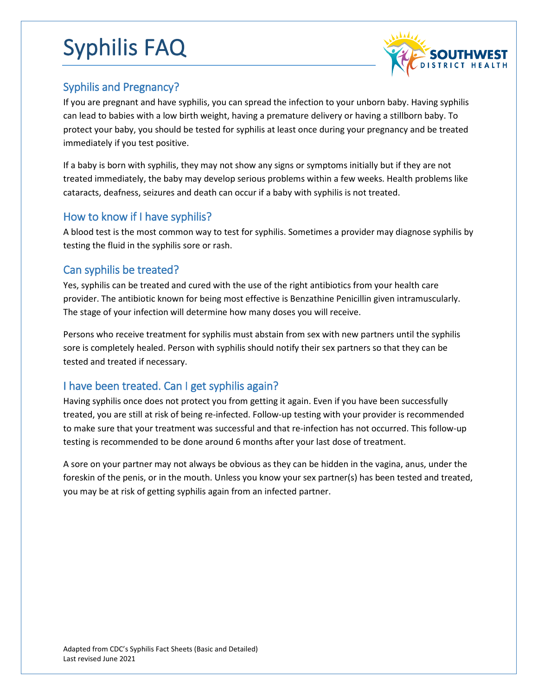

# Syphilis and Pregnancy?

If you are pregnant and have syphilis, you can spread the infection to your unborn baby. Having syphilis can lead to babies with a low birth weight, having a premature delivery or having a stillborn baby. To protect your baby, you should be tested for syphilis at least once during your pregnancy and be treated immediately if you test positive.

If a baby is born with syphilis, they may not show any signs or symptoms initially but if they are not treated immediately, the baby may develop serious problems within a few weeks. Health problems like cataracts, deafness, seizures and death can occur if a baby with syphilis is not treated.

# How to know if I have syphilis?

A blood test is the most common way to test for syphilis. Sometimes a provider may diagnose syphilis by testing the fluid in the syphilis sore or rash.

### Can syphilis be treated?

Yes, syphilis can be treated and cured with the use of the right antibiotics from your health care provider. The antibiotic known for being most effective is Benzathine Penicillin given intramuscularly. The stage of your infection will determine how many doses you will receive.

Persons who receive treatment for syphilis must abstain from sex with new partners until the syphilis sore is completely healed. Person with syphilis should notify their sex partners so that they can be tested and treated if necessary.

# I have been treated. Can I get syphilis again?

Having syphilis once does not protect you from getting it again. Even if you have been successfully treated, you are still at risk of being re-infected. Follow-up testing with your provider is recommended to make sure that your treatment was successful and that re-infection has not occurred. This follow-up testing is recommended to be done around 6 months after your last dose of treatment.

A sore on your partner may not always be obvious as they can be hidden in the vagina, anus, under the foreskin of the penis, or in the mouth. Unless you know your sex partner(s) has been tested and treated, you may be at risk of getting syphilis again from an infected partner.